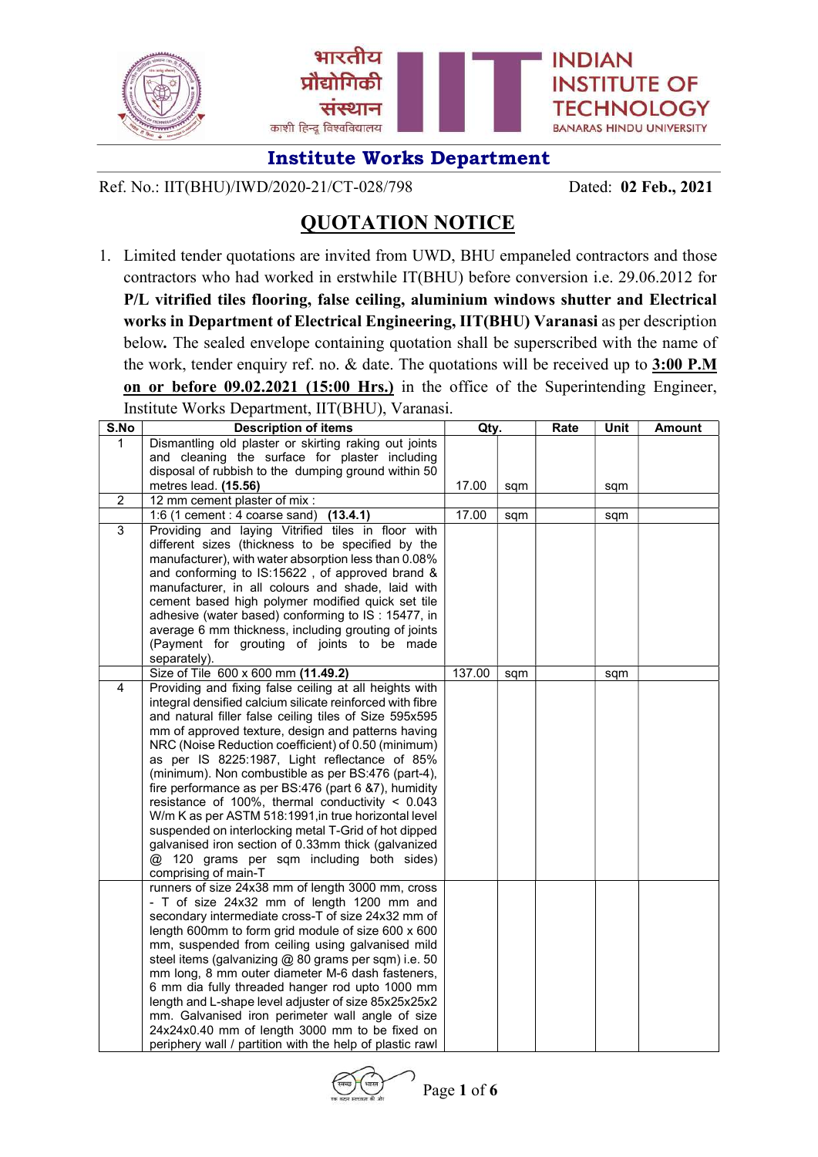

Ref. No.: IIT(BHU)/IWD/2020-21/CT-028/798 Dated: 02 Feb., 2021

# QUOTATION NOTICE

1. Limited tender quotations are invited from UWD, BHU empaneled contractors and those contractors who had worked in erstwhile IT(BHU) before conversion i.e. 29.06.2012 for P/L vitrified tiles flooring, false ceiling, aluminium windows shutter and Electrical works in Department of Electrical Engineering, IIT(BHU) Varanasi as per description below. The sealed envelope containing quotation shall be superscribed with the name of the work, tender enquiry ref. no. & date. The quotations will be received up to  $3:00$  P.M on or before 09.02.2021 (15:00 Hrs.) in the office of the Superintending Engineer, Institute Works Department, IIT(BHU), Varanasi.

| S.No           | <b>Description of items</b>                                                                      | Qty.   |     | Rate | Unit | <b>Amount</b> |
|----------------|--------------------------------------------------------------------------------------------------|--------|-----|------|------|---------------|
| 1              | Dismantling old plaster or skirting raking out joints                                            |        |     |      |      |               |
|                | and cleaning the surface for plaster including                                                   |        |     |      |      |               |
|                | disposal of rubbish to the dumping ground within 50                                              |        |     |      |      |               |
|                | metres lead. (15.56)                                                                             | 17.00  | sqm |      | sqm  |               |
| $\overline{2}$ | 12 mm cement plaster of mix :                                                                    |        |     |      |      |               |
|                | 1:6 (1 cement : 4 coarse sand) (13.4.1)                                                          | 17.00  | sqm |      | sqm  |               |
| $\overline{3}$ | Providing and laying Vitrified tiles in floor with                                               |        |     |      |      |               |
|                | different sizes (thickness to be specified by the                                                |        |     |      |      |               |
|                | manufacturer), with water absorption less than 0.08%                                             |        |     |      |      |               |
|                | and conforming to IS:15622, of approved brand &                                                  |        |     |      |      |               |
|                | manufacturer, in all colours and shade, laid with                                                |        |     |      |      |               |
|                | cement based high polymer modified quick set tile                                                |        |     |      |      |               |
|                | adhesive (water based) conforming to IS: 15477, in                                               |        |     |      |      |               |
|                | average 6 mm thickness, including grouting of joints                                             |        |     |      |      |               |
|                | (Payment for grouting of joints to be made                                                       |        |     |      |      |               |
|                | separately).                                                                                     |        |     |      |      |               |
|                | Size of Tile 600 x 600 mm (11.49.2)                                                              | 137.00 | sqm |      | sqm  |               |
| 4              | Providing and fixing false ceiling at all heights with                                           |        |     |      |      |               |
|                | integral densified calcium silicate reinforced with fibre                                        |        |     |      |      |               |
|                | and natural filler false ceiling tiles of Size 595x595                                           |        |     |      |      |               |
|                | mm of approved texture, design and patterns having                                               |        |     |      |      |               |
|                | NRC (Noise Reduction coefficient) of 0.50 (minimum)                                              |        |     |      |      |               |
|                | as per IS 8225:1987, Light reflectance of 85%                                                    |        |     |      |      |               |
|                | (minimum). Non combustible as per BS:476 (part-4),                                               |        |     |      |      |               |
|                | fire performance as per BS:476 (part 6 &7), humidity                                             |        |     |      |      |               |
|                | resistance of 100%, thermal conductivity $< 0.043$                                               |        |     |      |      |               |
|                | W/m K as per ASTM 518:1991, in true horizontal level                                             |        |     |      |      |               |
|                | suspended on interlocking metal T-Grid of hot dipped                                             |        |     |      |      |               |
|                | galvanised iron section of 0.33mm thick (galvanized<br>@ 120 grams per sqm including both sides) |        |     |      |      |               |
|                | comprising of main-T                                                                             |        |     |      |      |               |
|                | runners of size 24x38 mm of length 3000 mm, cross                                                |        |     |      |      |               |
|                | - T of size 24x32 mm of length 1200 mm and                                                       |        |     |      |      |               |
|                | secondary intermediate cross-T of size 24x32 mm of                                               |        |     |      |      |               |
|                | length 600mm to form grid module of size 600 x 600                                               |        |     |      |      |               |
|                | mm, suspended from ceiling using galvanised mild                                                 |        |     |      |      |               |
|                | steel items (galvanizing @ 80 grams per sqm) i.e. 50                                             |        |     |      |      |               |
|                | mm long, 8 mm outer diameter M-6 dash fasteners,                                                 |        |     |      |      |               |
|                | 6 mm dia fully threaded hanger rod upto 1000 mm                                                  |        |     |      |      |               |
|                | length and L-shape level adjuster of size 85x25x25x2                                             |        |     |      |      |               |
|                | mm. Galvanised iron perimeter wall angle of size                                                 |        |     |      |      |               |
|                | 24x24x0.40 mm of length 3000 mm to be fixed on                                                   |        |     |      |      |               |
|                | periphery wall / partition with the help of plastic rawl                                         |        |     |      |      |               |

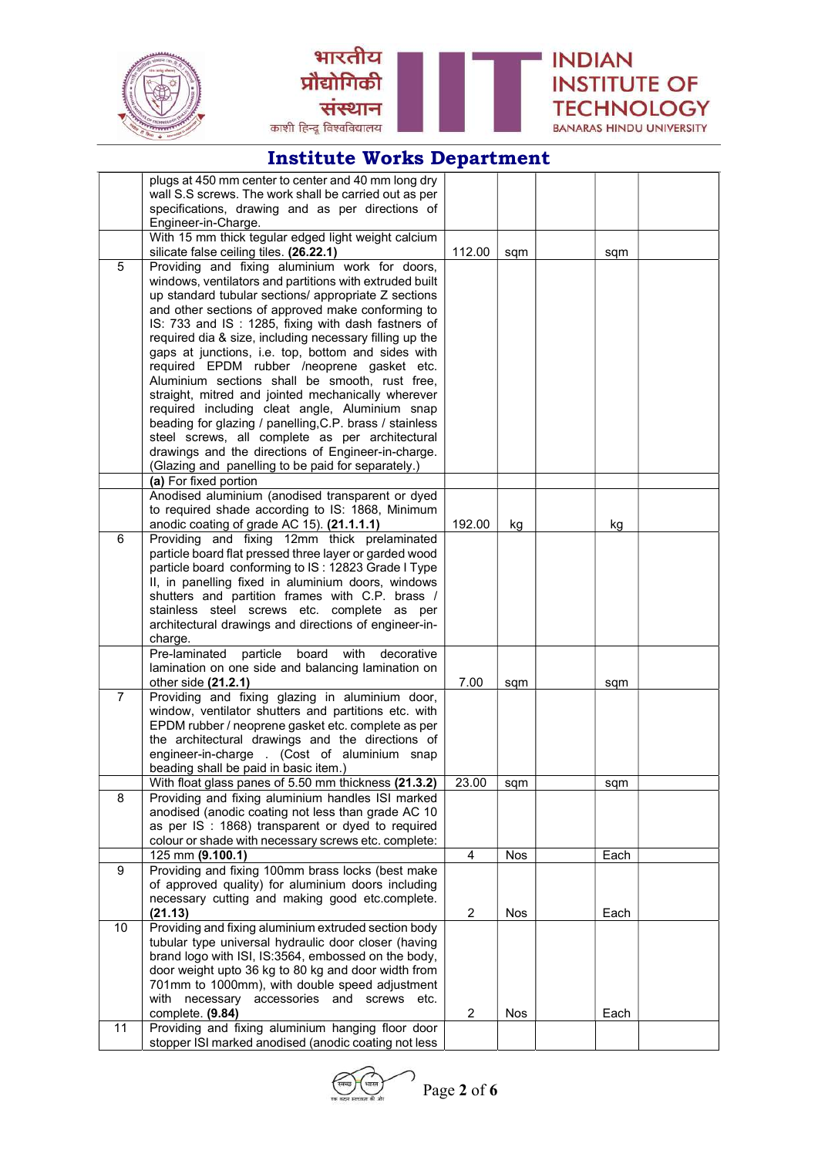



|                | plugs at 450 mm center to center and 40 mm long dry      |                |            |      |  |
|----------------|----------------------------------------------------------|----------------|------------|------|--|
|                | wall S.S screws. The work shall be carried out as per    |                |            |      |  |
|                | specifications, drawing and as per directions of         |                |            |      |  |
|                | Engineer-in-Charge.                                      |                |            |      |  |
|                | With 15 mm thick tegular edged light weight calcium      |                |            |      |  |
|                | silicate false ceiling tiles. (26.22.1)                  | 112.00         | sqm        | sqm  |  |
| 5              | Providing and fixing aluminium work for doors,           |                |            |      |  |
|                | windows, ventilators and partitions with extruded built  |                |            |      |  |
|                | up standard tubular sections/ appropriate Z sections     |                |            |      |  |
|                | and other sections of approved make conforming to        |                |            |      |  |
|                | IS: 733 and IS: 1285, fixing with dash fastners of       |                |            |      |  |
|                | required dia & size, including necessary filling up the  |                |            |      |  |
|                | gaps at junctions, i.e. top, bottom and sides with       |                |            |      |  |
|                | required EPDM rubber /neoprene gasket etc.               |                |            |      |  |
|                | Aluminium sections shall be smooth, rust free,           |                |            |      |  |
|                | straight, mitred and jointed mechanically wherever       |                |            |      |  |
|                | required including cleat angle, Aluminium snap           |                |            |      |  |
|                | beading for glazing / panelling, C.P. brass / stainless  |                |            |      |  |
|                | steel screws, all complete as per architectural          |                |            |      |  |
|                | drawings and the directions of Engineer-in-charge.       |                |            |      |  |
|                | (Glazing and panelling to be paid for separately.)       |                |            |      |  |
|                | (a) For fixed portion                                    |                |            |      |  |
|                | Anodised aluminium (anodised transparent or dyed         |                |            |      |  |
|                | to required shade according to IS: 1868, Minimum         |                |            |      |  |
|                | anodic coating of grade AC 15). (21.1.1.1)               | 192.00         | kg         | kg   |  |
| 6              | Providing and fixing 12mm thick prelaminated             |                |            |      |  |
|                | particle board flat pressed three layer or garded wood   |                |            |      |  |
|                | particle board conforming to IS: 12823 Grade I Type      |                |            |      |  |
|                | II, in panelling fixed in aluminium doors, windows       |                |            |      |  |
|                | shutters and partition frames with C.P. brass /          |                |            |      |  |
|                | stainless steel screws etc. complete as per              |                |            |      |  |
|                | architectural drawings and directions of engineer-in-    |                |            |      |  |
|                | charge.                                                  |                |            |      |  |
|                | Pre-laminated<br>board<br>with<br>particle<br>decorative |                |            |      |  |
|                | lamination on one side and balancing lamination on       |                |            |      |  |
|                | other side (21.2.1)                                      | 7.00           | sqm        | sqm  |  |
| $\overline{7}$ | Providing and fixing glazing in aluminium door,          |                |            |      |  |
|                | window, ventilator shutters and partitions etc. with     |                |            |      |  |
|                | EPDM rubber / neoprene gasket etc. complete as per       |                |            |      |  |
|                | the architectural drawings and the directions of         |                |            |      |  |
|                | engineer-in-charge . (Cost of aluminium snap             |                |            |      |  |
|                | beading shall be paid in basic item.)                    |                |            |      |  |
|                | With float glass panes of 5.50 mm thickness (21.3.2)     | 23.00          | sqm        | sqm  |  |
| 8              | Providing and fixing aluminium handles ISI marked        |                |            |      |  |
|                | anodised (anodic coating not less than grade AC 10       |                |            |      |  |
|                | as per IS : 1868) transparent or dyed to required        |                |            |      |  |
|                | colour or shade with necessary screws etc. complete:     |                |            |      |  |
|                | 125 mm (9.100.1)                                         | 4              | <b>Nos</b> | Each |  |
| 9              | Providing and fixing 100mm brass locks (best make        |                |            |      |  |
|                | of approved quality) for aluminium doors including       |                |            |      |  |
|                | necessary cutting and making good etc.complete.          |                |            |      |  |
|                | (21.13)                                                  | 2              | Nos        | Each |  |
| 10             | Providing and fixing aluminium extruded section body     |                |            |      |  |
|                | tubular type universal hydraulic door closer (having     |                |            |      |  |
|                | brand logo with ISI, IS:3564, embossed on the body,      |                |            |      |  |
|                | door weight upto 36 kg to 80 kg and door width from      |                |            |      |  |
|                | 701mm to 1000mm), with double speed adjustment           |                |            |      |  |
|                | with necessary accessories and screws etc.               |                |            |      |  |
|                | complete. (9.84)                                         | $\overline{2}$ | Nos        | Each |  |
| 11             | Providing and fixing aluminium hanging floor door        |                |            |      |  |
|                | stopper ISI marked anodised (anodic coating not less     |                |            |      |  |

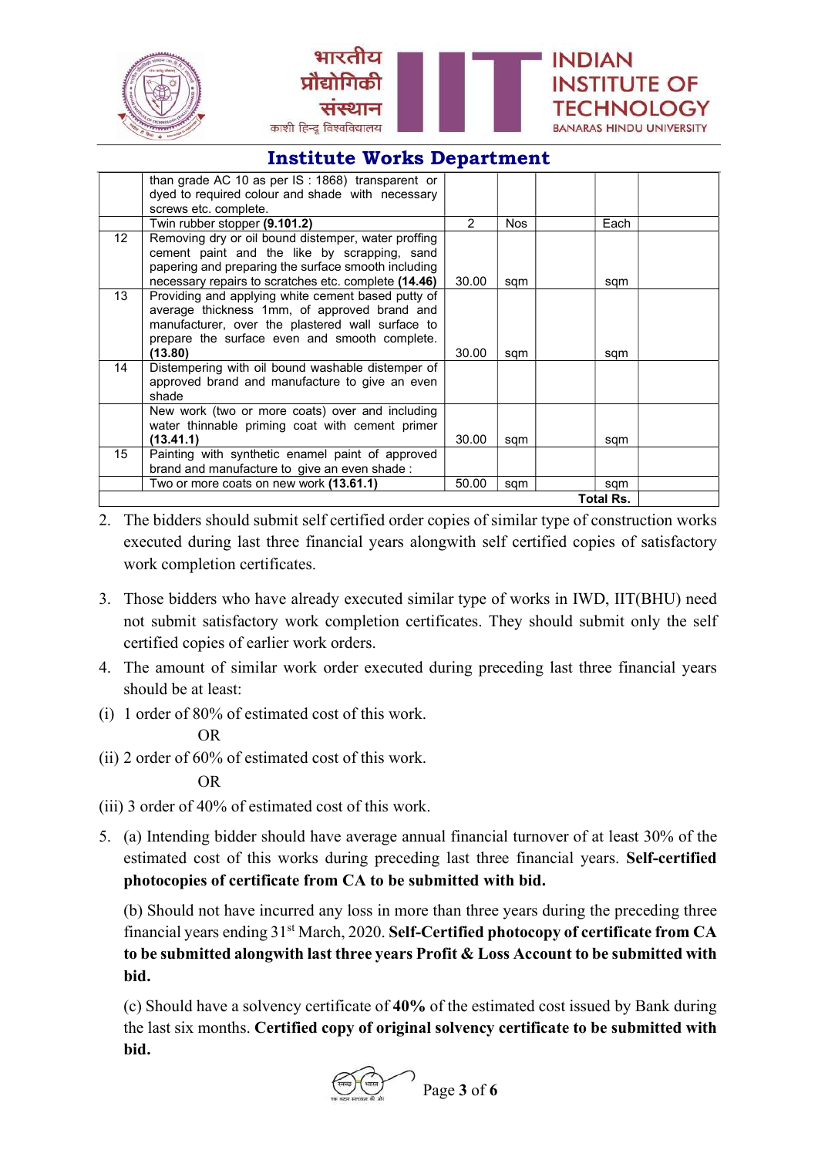



|                  | than grade AC 10 as per $IS: 1868$ transparent or    |               |      |      |  |
|------------------|------------------------------------------------------|---------------|------|------|--|
|                  | dyed to required colour and shade with necessary     |               |      |      |  |
|                  | screws etc. complete.                                |               |      |      |  |
|                  | Twin rubber stopper (9.101.2)                        | $\mathcal{P}$ | Nos. | Each |  |
| 12 <sup>2</sup>  | Removing dry or oil bound distemper, water proffing  |               |      |      |  |
|                  | cement paint and the like by scrapping, sand         |               |      |      |  |
|                  | papering and preparing the surface smooth including  |               |      |      |  |
|                  | necessary repairs to scratches etc. complete (14.46) | 30.00         | sqm  | sqm  |  |
| 13               | Providing and applying white cement based putty of   |               |      |      |  |
|                  | average thickness 1mm, of approved brand and         |               |      |      |  |
|                  | manufacturer, over the plastered wall surface to     |               |      |      |  |
|                  | prepare the surface even and smooth complete.        |               |      |      |  |
|                  | (13.80)                                              | 30.00         | sqm  | sqm  |  |
| 14               | Distempering with oil bound washable distemper of    |               |      |      |  |
|                  | approved brand and manufacture to give an even       |               |      |      |  |
|                  | shade                                                |               |      |      |  |
|                  | New work (two or more coats) over and including      |               |      |      |  |
|                  | water thinnable priming coat with cement primer      |               |      |      |  |
|                  | (13.41.1)                                            | 30.00         | sqm  | sqm  |  |
| 15               | Painting with synthetic enamel paint of approved     |               |      |      |  |
|                  | brand and manufacture to give an even shade:         |               |      |      |  |
|                  | Two or more coats on new work (13.61.1)              | 50.00         | sqm  | sqm  |  |
| <b>Total Rs.</b> |                                                      |               |      |      |  |

- 2. The bidders should submit self certified order copies of similar type of construction works executed during last three financial years alongwith self certified copies of satisfactory work completion certificates.
- 3. Those bidders who have already executed similar type of works in IWD, IIT(BHU) need not submit satisfactory work completion certificates. They should submit only the self certified copies of earlier work orders.
- 4. The amount of similar work order executed during preceding last three financial years should be at least:
- (i) 1 order of 80% of estimated cost of this work.

### OR

(ii) 2 order of 60% of estimated cost of this work.

### OR

- (iii) 3 order of 40% of estimated cost of this work.
- 5. (a) Intending bidder should have average annual financial turnover of at least 30% of the estimated cost of this works during preceding last three financial years. Self-certified photocopies of certificate from CA to be submitted with bid.

 (b) Should not have incurred any loss in more than three years during the preceding three financial years ending 31st March, 2020. Self-Certified photocopy of certificate from CA to be submitted alongwith last three years Profit & Loss Account to be submitted with bid.

 (c) Should have a solvency certificate of 40% of the estimated cost issued by Bank during the last six months. Certified copy of original solvency certificate to be submitted with bid.

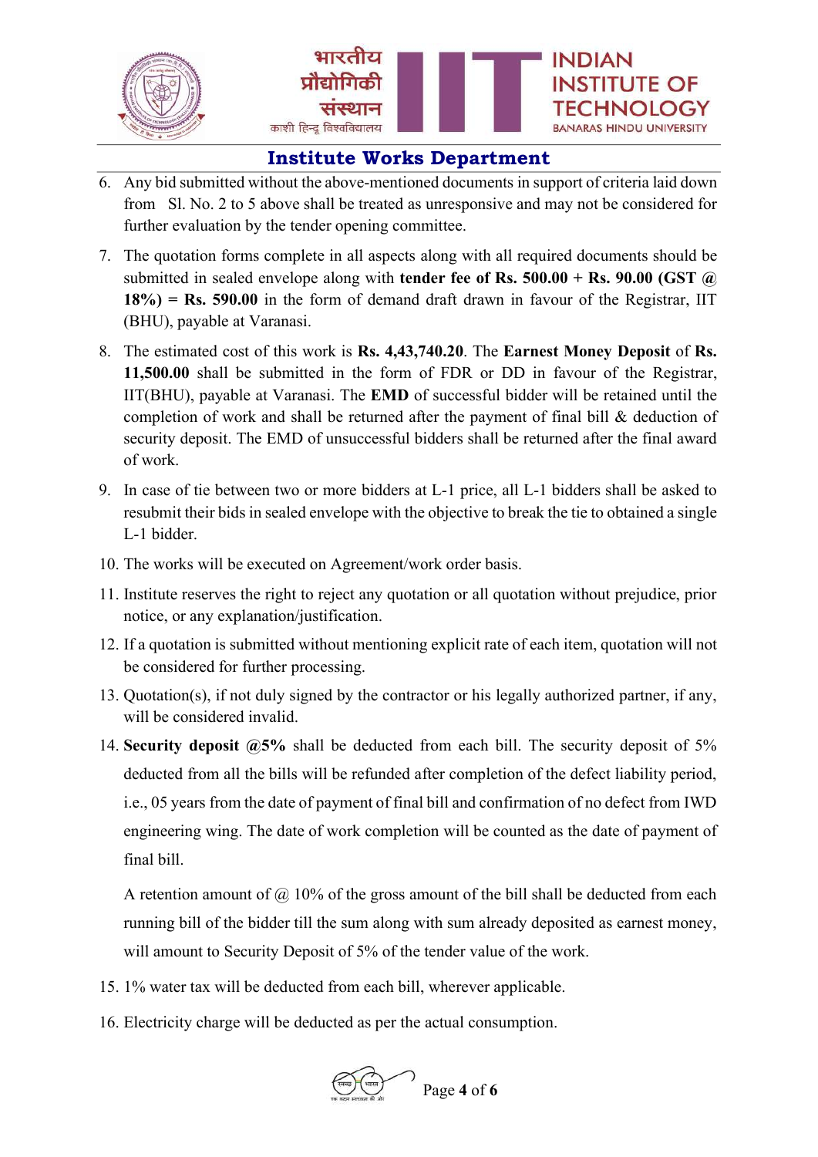

- 6. Any bid submitted without the above-mentioned documents in support of criteria laid down from Sl. No. 2 to 5 above shall be treated as unresponsive and may not be considered for further evaluation by the tender opening committee.
- 7. The quotation forms complete in all aspects along with all required documents should be submitted in sealed envelope along with **tender fee of Rs. 500.00 + Rs. 90.00 (GST**  $\omega$ )  $18\%$ ) = Rs. 590.00 in the form of demand draft drawn in favour of the Registrar, IIT (BHU), payable at Varanasi.
- 8. The estimated cost of this work is Rs. 4,43,740.20. The Earnest Money Deposit of Rs. 11,500.00 shall be submitted in the form of FDR or DD in favour of the Registrar, IIT(BHU), payable at Varanasi. The EMD of successful bidder will be retained until the completion of work and shall be returned after the payment of final bill & deduction of security deposit. The EMD of unsuccessful bidders shall be returned after the final award of work.
- 9. In case of tie between two or more bidders at L-1 price, all L-1 bidders shall be asked to resubmit their bids in sealed envelope with the objective to break the tie to obtained a single L-1 bidder.
- 10. The works will be executed on Agreement/work order basis.
- 11. Institute reserves the right to reject any quotation or all quotation without prejudice, prior notice, or any explanation/justification.
- 12. If a quotation is submitted without mentioning explicit rate of each item, quotation will not be considered for further processing.
- 13. Quotation(s), if not duly signed by the contractor or his legally authorized partner, if any, will be considered invalid.
- 14. Security deposit  $\omega$ 5% shall be deducted from each bill. The security deposit of 5% deducted from all the bills will be refunded after completion of the defect liability period, i.e., 05 years from the date of payment of final bill and confirmation of no defect from IWD engineering wing. The date of work completion will be counted as the date of payment of final bill.

A retention amount of  $\omega$  10% of the gross amount of the bill shall be deducted from each running bill of the bidder till the sum along with sum already deposited as earnest money, will amount to Security Deposit of 5% of the tender value of the work.

- 15. 1% water tax will be deducted from each bill, wherever applicable.
- 16. Electricity charge will be deducted as per the actual consumption.

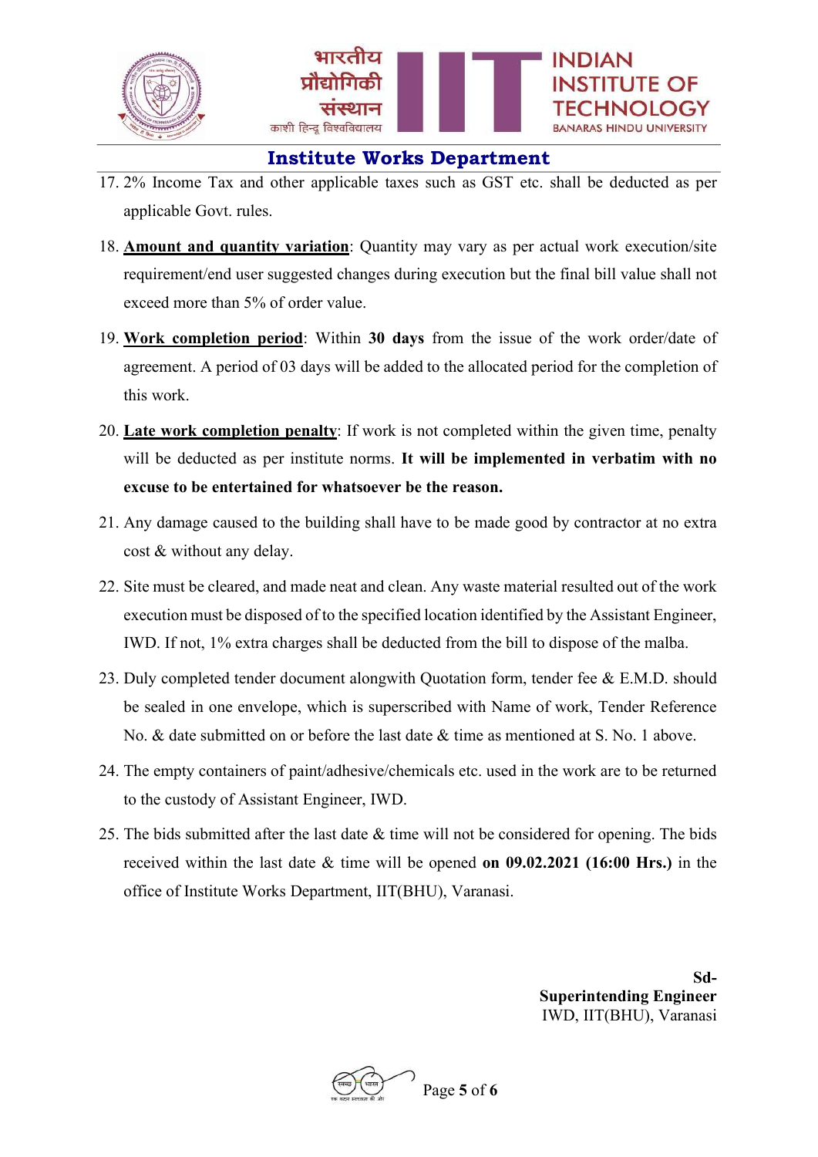

- 17. 2% Income Tax and other applicable taxes such as GST etc. shall be deducted as per applicable Govt. rules.
- 18. Amount and quantity variation: Quantity may vary as per actual work execution/site requirement/end user suggested changes during execution but the final bill value shall not exceed more than 5% of order value.
- 19. Work completion period: Within 30 days from the issue of the work order/date of agreement. A period of 03 days will be added to the allocated period for the completion of this work.
- 20. Late work completion penalty: If work is not completed within the given time, penalty will be deducted as per institute norms. It will be implemented in verbatim with no excuse to be entertained for whatsoever be the reason.
- 21. Any damage caused to the building shall have to be made good by contractor at no extra cost & without any delay.
- 22. Site must be cleared, and made neat and clean. Any waste material resulted out of the work execution must be disposed of to the specified location identified by the Assistant Engineer, IWD. If not, 1% extra charges shall be deducted from the bill to dispose of the malba.
- 23. Duly completed tender document alongwith Quotation form, tender fee & E.M.D. should be sealed in one envelope, which is superscribed with Name of work, Tender Reference No. & date submitted on or before the last date & time as mentioned at S. No. 1 above.
- 24. The empty containers of paint/adhesive/chemicals etc. used in the work are to be returned to the custody of Assistant Engineer, IWD.
- 25. The bids submitted after the last date  $\&$  time will not be considered for opening. The bids received within the last date & time will be opened on 09.02.2021 (16:00 Hrs.) in the office of Institute Works Department, IIT(BHU), Varanasi.

Sd-Superintending Engineer IWD, IIT(BHU), Varanasi